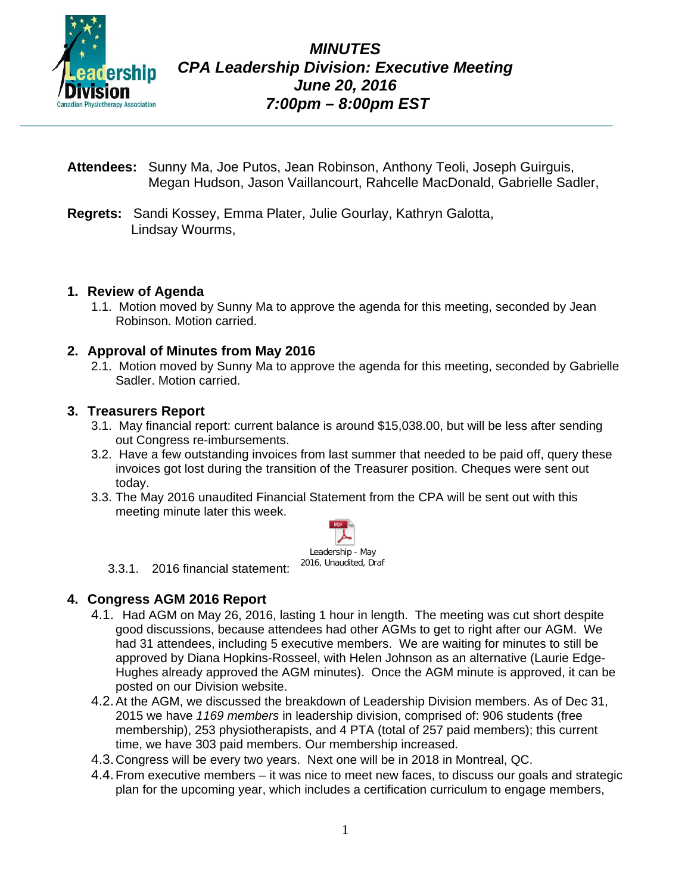

- **Attendees:** Sunny Ma, Joe Putos, Jean Robinson, Anthony Teoli, Joseph Guirguis, Megan Hudson, Jason Vaillancourt, Rahcelle MacDonald, Gabrielle Sadler,
- **Regrets:** Sandi Kossey, Emma Plater, Julie Gourlay, Kathryn Galotta, Lindsay Wourms,

### **1. Review of Agenda**

1.1. Motion moved by Sunny Ma to approve the agenda for this meeting, seconded by Jean Robinson. Motion carried.

### **2. Approval of Minutes from May 2016**

2.1. Motion moved by Sunny Ma to approve the agenda for this meeting, seconded by Gabrielle Sadler. Motion carried.

#### **3. Treasurers Report**

- 3.1. May financial report: current balance is around \$15,038.00, but will be less after sending out Congress re-imbursements.
- 3.2. Have a few outstanding invoices from last summer that needed to be paid off, query these invoices got lost during the transition of the Treasurer position. Cheques were sent out today.
- 3.3. The May 2016 unaudited Financial Statement from the CPA will be sent out with this meeting minute later this week.



#### 3.3.1. 2016 financial statement:

#### **4. Congress AGM 2016 Report**

- 4.1. Had AGM on May 26, 2016, lasting 1 hour in length. The meeting was cut short despite good discussions, because attendees had other AGMs to get to right after our AGM. We had 31 attendees, including 5 executive members. We are waiting for minutes to still be approved by Diana Hopkins-Rosseel, with Helen Johnson as an alternative (Laurie Edge-Hughes already approved the AGM minutes). Once the AGM minute is approved, it can be posted on our Division website.
- 4.2.At the AGM, we discussed the breakdown of Leadership Division members. As of Dec 31, 2015 we have *1169 members* in leadership division, comprised of: 906 students (free membership), 253 physiotherapists, and 4 PTA (total of 257 paid members); this current time, we have 303 paid members. Our membership increased.
- 4.3.Congress will be every two years. Next one will be in 2018 in Montreal, QC.
- 4.4.From executive members it was nice to meet new faces, to discuss our goals and strategic plan for the upcoming year, which includes a certification curriculum to engage members,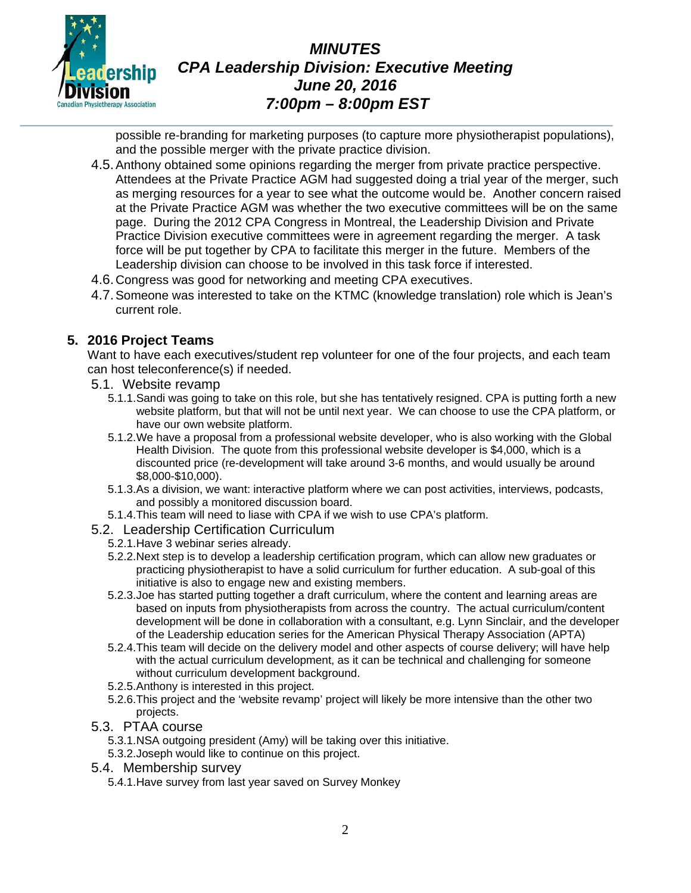

# *MINUTES CPA Leadership Division: Executive Meeting June 20, 2016 7:00pm – 8:00pm EST*

possible re-branding for marketing purposes (to capture more physiotherapist populations), and the possible merger with the private practice division.

- 4.5.Anthony obtained some opinions regarding the merger from private practice perspective. Attendees at the Private Practice AGM had suggested doing a trial year of the merger, such as merging resources for a year to see what the outcome would be. Another concern raised at the Private Practice AGM was whether the two executive committees will be on the same page. During the 2012 CPA Congress in Montreal, the Leadership Division and Private Practice Division executive committees were in agreement regarding the merger. A task force will be put together by CPA to facilitate this merger in the future. Members of the Leadership division can choose to be involved in this task force if interested.
- 4.6.Congress was good for networking and meeting CPA executives.
- 4.7.Someone was interested to take on the KTMC (knowledge translation) role which is Jean's current role.

#### **5. 2016 Project Teams**

Want to have each executives/student rep volunteer for one of the four projects, and each team can host teleconference(s) if needed.

- 5.1. Website revamp
	- 5.1.1.Sandi was going to take on this role, but she has tentatively resigned. CPA is putting forth a new website platform, but that will not be until next year. We can choose to use the CPA platform, or have our own website platform.
	- 5.1.2.We have a proposal from a professional website developer, who is also working with the Global Health Division. The quote from this professional website developer is \$4,000, which is a discounted price (re-development will take around 3-6 months, and would usually be around \$8,000-\$10,000).
	- 5.1.3.As a division, we want: interactive platform where we can post activities, interviews, podcasts, and possibly a monitored discussion board.
	- 5.1.4.This team will need to liase with CPA if we wish to use CPA's platform.
- 5.2. Leadership Certification Curriculum
	- 5.2.1.Have 3 webinar series already.
	- 5.2.2.Next step is to develop a leadership certification program, which can allow new graduates or practicing physiotherapist to have a solid curriculum for further education. A sub-goal of this initiative is also to engage new and existing members.
	- 5.2.3.Joe has started putting together a draft curriculum, where the content and learning areas are based on inputs from physiotherapists from across the country. The actual curriculum/content development will be done in collaboration with a consultant, e.g. Lynn Sinclair, and the developer of the Leadership education series for the American Physical Therapy Association (APTA)
	- 5.2.4.This team will decide on the delivery model and other aspects of course delivery; will have help with the actual curriculum development, as it can be technical and challenging for someone without curriculum development background.
	- 5.2.5.Anthony is interested in this project.
	- 5.2.6.This project and the 'website revamp' project will likely be more intensive than the other two projects.
- 5.3. PTAA course
	- 5.3.1.NSA outgoing president (Amy) will be taking over this initiative.
	- 5.3.2.Joseph would like to continue on this project.
- 5.4. Membership survey
	- 5.4.1.Have survey from last year saved on Survey Monkey